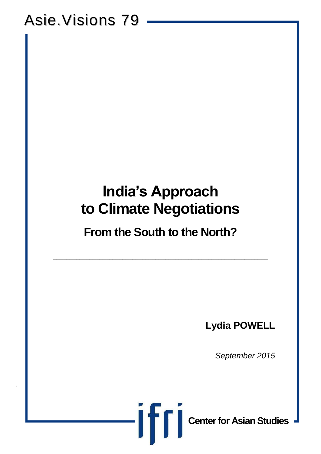# Asie.Visions 79

.

# **India's Approach to Climate Negotiations**

**\_\_\_\_\_\_\_\_\_\_\_\_\_\_\_\_\_\_\_\_\_\_\_\_\_\_\_\_\_\_\_\_\_\_\_\_\_\_\_\_\_\_\_\_\_\_\_\_\_\_\_\_\_\_\_\_\_\_\_\_\_\_\_\_\_\_\_\_\_\_**

## **From the South to the North?**

**\_\_\_\_\_\_\_\_\_\_\_\_\_\_\_\_\_\_\_\_\_\_\_\_\_\_\_\_\_\_\_\_\_\_\_\_\_\_\_\_\_\_\_\_\_\_\_\_\_\_\_\_\_\_\_\_\_\_\_\_\_\_\_\_\_**

**Lydia POWELL**

*September 2015*



**Center for Asian Studies**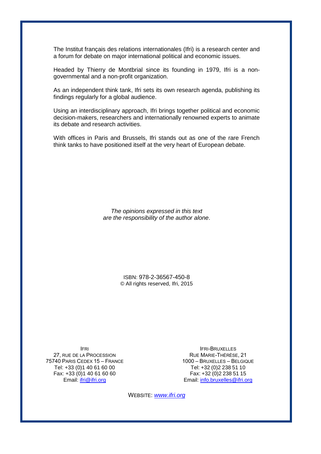The Institut français des relations internationales (Ifri) is a research center and a forum for debate on major international political and economic issues.

Headed by Thierry de Montbrial since its founding in 1979, Ifri is a nongovernmental and a non-profit organization.

As an independent think tank, Ifri sets its own research agenda, publishing its findings regularly for a global audience.

Using an interdisciplinary approach, Ifri brings together political and economic decision-makers, researchers and internationally renowned experts to animate its debate and research activities.

With offices in Paris and Brussels, Ifri stands out as one of the rare French think tanks to have positioned itself at the very heart of European debate.

> *The opinions expressed in this text are the responsibility of the author alone*.

> > ISBN: 978-2-36567-450-8 © All rights reserved, Ifri, 2015

IFRI 27, RUE DE LA PROCESSION 75740 PARIS CEDEX 15 – FRANCE Tel: +33 (0)1 40 61 60 00 Fax: +33 (0)1 40 61 60 60 Email: [ifri@ifri.org](mailto:ifri@ifri.org)

IFRI-BRUXELLES RUE MARIE-THÉRÈSE, 21 1000 – BRUXELLES – BELGIQUE Tel: +32 (0)2 238 51 10 Fax: +32 (0)2 238 51 15 Email: [info.bruxelles@ifri.org](mailto:info.bruxelles@ifri.org)

WEBSITE: *[www.ifri.org](http://www.ifri.org/)*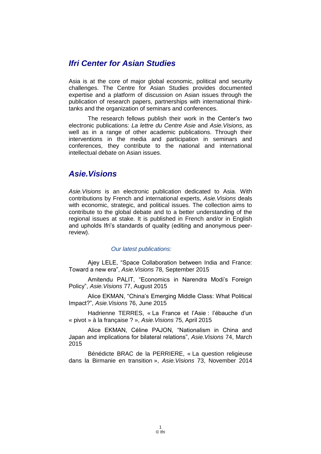#### *Ifri Center for Asian Studies*

Asia is at the core of major global economic, political and security challenges. The Centre for Asian Studies provides documented expertise and a platform of discussion on Asian issues through the publication of research papers, partnerships with international thinktanks and the organization of seminars and conferences.

The research fellows publish their work in the Center's two electronic publications: *La lettre du Centre Asie* and *Asie.Visions*, as well as in a range of other academic publications. Through their interventions in the media and participation in seminars and conferences, they contribute to the national and international intellectual debate on Asian issues.

#### *Asie.Visions*

*Asie.Visions* is an electronic publication dedicated to Asia. With contributions by French and international experts, *Asie.Visions* deals with economic, strategic, and political issues. The collection aims to contribute to the global debate and to a better understanding of the regional issues at stake. It is published in French and/or in English and upholds Ifri's standards of quality (editing and anonymous peerreview).

#### *Our latest publications:*

Ajey LELE, "Space Collaboration between India and France: Toward a new era", *Asie.Visions* 78, September 2015

Amitendu PALIT, "Economics in Narendra Modi's Foreign Policy", *Asie.Visions* 77, August 2015

Alice EKMAN, "China's Emerging Middle Class: What Political Impact?", *Asie.Visions* 76, June 2015

Hadrienne TERRES, « La France et l'Asie : l'ébauche d'un « pivot » à la française ? », *Asie.Visions* 75, April 2015

Alice EKMAN, Céline PAJON, "Nationalism in China and Japan and implications for bilateral relations", *Asie.Visions* 74, March 2015

Bénédicte BRAC de la PERRIERE, « La question religieuse dans la Birmanie en transition », *Asie.Visions* 73, November 2014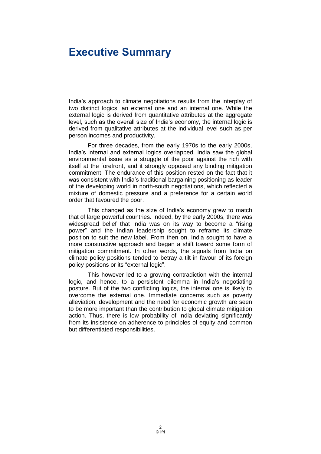## <span id="page-3-0"></span>**Executive Summary**

India's approach to climate negotiations results from the interplay of two distinct logics, an external one and an internal one. While the external logic is derived from quantitative attributes at the aggregate level, such as the overall size of India's economy, the internal logic is derived from qualitative attributes at the individual level such as per person incomes and productivity.

For three decades, from the early 1970s to the early 2000s, India's internal and external logics overlapped. India saw the global environmental issue as a struggle of the poor against the rich with itself at the forefront, and it strongly opposed any binding mitigation commitment. The endurance of this position rested on the fact that it was consistent with India's traditional bargaining positioning as leader of the developing world in north-south negotiations, which reflected a mixture of domestic pressure and a preference for a certain world order that favoured the poor.

This changed as the size of India's economy grew to match that of large powerful countries. Indeed, by the early 2000s, there was widespread belief that India was on its way to become a "rising power" and the Indian leadership sought to reframe its climate position to suit the new label. From then on, India sought to have a more constructive approach and began a shift toward some form of mitigation commitment. In other words, the signals from India on climate policy positions tended to betray a tilt in favour of its foreign policy positions or its "external logic".

This however led to a growing contradiction with the internal logic, and hence, to a persistent dilemma in India's negotiating posture. But of the two conflicting logics, the internal one is likely to overcome the external one. Immediate concerns such as poverty alleviation, development and the need for economic growth are seen to be more important than the contribution to global climate mitigation action. Thus, there is low probability of India deviating significantly from its insistence on adherence to principles of equity and common but differentiated responsibilities.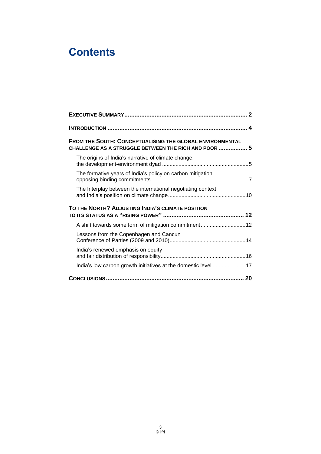## **Contents**

| FROM THE SOUTH: CONCEPTUALISING THE GLOBAL ENVIRONMENTAL<br>CHALLENGE AS A STRUGGLE BETWEEN THE RICH AND POOR  5 |  |
|------------------------------------------------------------------------------------------------------------------|--|
| The origins of India's narrative of climate change:                                                              |  |
| The formative years of India's policy on carbon mitigation:                                                      |  |
| The Interplay between the international negotiating context                                                      |  |
| TO THE NORTH? ADJUSTING INDIA'S CLIMATE POSITION                                                                 |  |
| A shift towards some form of mitigation commitment12                                                             |  |
| Lessons from the Copenhagen and Cancun                                                                           |  |
| India's renewed emphasis on equity                                                                               |  |
| India's low carbon growth initiatives at the domestic level 17                                                   |  |
|                                                                                                                  |  |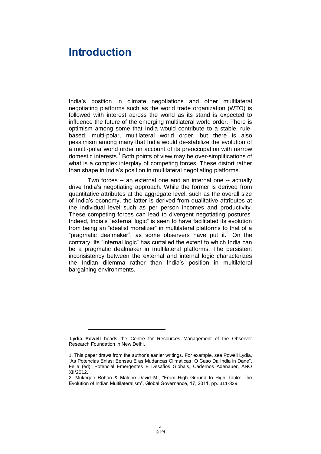## <span id="page-5-0"></span>**Introduction**

India's position in climate negotiations and other multilateral negotiating platforms such as the world trade organization (WTO) is followed with interest across the world as its stand is expected to influence the future of the emerging multilateral world order. There is optimism among some that India would contribute to a stable, rulebased, multi-polar, multilateral world order, but there is also pessimism among many that India would de-stabilize the evolution of a multi-polar world order on account of its preoccupation with narrow domestic interests. $1$  Both points of view may be over-simplifications of what is a complex interplay of competing forces. These distort rather than shape in India's position in multilateral negotiating platforms.

Two forces -- an external one and an internal one -- actually drive India's negotiating approach. While the former is derived from quantitative attributes at the aggregate level, such as the overall size of India's economy, the latter is derived from qualitative attributes at the individual level such as per person incomes and productivity. These competing forces can lead to divergent negotiating postures. Indeed, India's "external logic" is seen to have facilitated its evolution from being an "idealist moralizer" in multilateral platforms to that of a "pragmatic dealmaker", as some observers have put it. $<sup>2</sup>$  On the</sup> contrary, its "internal logic" has curtailed the extent to which India can be a pragmatic dealmaker in multilateral platforms. The persistent inconsistency between the external and internal logic characterizes the Indian dilemma rather than India's position in multilateral bargaining environments.

**Lydia Powell** heads the Centre for Resources Management of the Observer Research Foundation in New Delhi.

<sup>1.</sup> This paper draws from the author's earlier writings. For example, see Powell Lydia, "As Potencias Enias: Eensau E as Mudancas Climaticas: O Caso Da India in Dane", Felia (ed), Potencial Emergentes E Desafios Globais, Cadernos Adenauer, ANO XII/2012.

<sup>2.</sup> Mukerjee Rohan & Malone David M., "From High Ground to High Table: The Evolution of Indian Multilateralism", Global Governance, 17, 2011, pp. 311-329.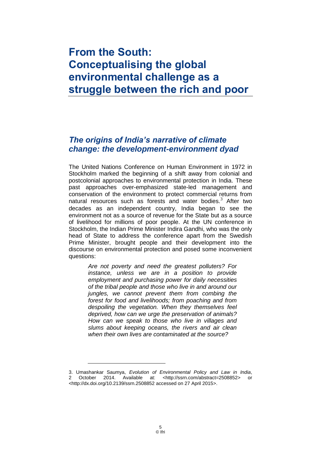## <span id="page-6-0"></span>**From the South: Conceptualising the global environmental challenge as a struggle between the rich and poor**

#### <span id="page-6-1"></span>*The origins of India's narrative of climate change: the development-environment dyad*

The United Nations Conference on Human Environment in 1972 in Stockholm marked the beginning of a shift away from colonial and postcolonial approaches to environmental protection in India. These past approaches over-emphasized state-led management and conservation of the environment to protect commercial returns from natural resources such as forests and water bodies.<sup>3</sup> After two decades as an independent country, India began to see the environment not as a source of revenue for the State but as a source of livelihood for millions of poor people. At the UN conference in Stockholm, the Indian Prime Minister Indira Gandhi, who was the only head of State to address the conference apart from the Swedish Prime Minister, brought people and their development into the discourse on environmental protection and posed some inconvenient questions:

> *Are not poverty and need the greatest polluters? For instance, unless we are in a position to provide employment and purchasing power for daily necessities of the tribal people and those who live in and around our jungles, we cannot prevent them from combing the forest for food and livelihoods; from poaching and from despoiling the vegetation. When they themselves feel deprived, how can we urge the preservation of animals? How can we speak to those who live in villages and slums about keeping oceans, the rivers and air clean when their own lives are contaminated at the source?*

<sup>3.</sup> Umashankar Saumya, *Evolution of Environmental Policy and Law in India*, 2 October 2014. Available at: [<http://ssrn.com/abstract=2508852>](http://ssrn.com/abstract=2508852) or [<http://dx.doi.org/10.2139/ssrn.2508852](http://dx.doi.org/10.2139/ssrn.2508852) accessed on 27 April 2015>.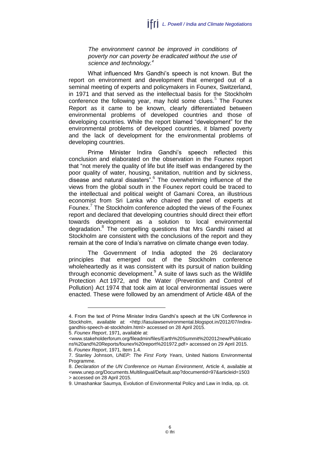*The environment cannot be improved in conditions of poverty nor can poverty be eradicated without the use of science and technology.<sup>4</sup>*

What influenced Mrs Gandhi's speech is not known. But the report on environment and development that emerged out of a seminal meeting of experts and policymakers in Founex, Switzerland, in 1971 and that served as the intellectual basis for the Stockholm conference the following year, may hold some clues. $5$  The Founex Report as it came to be known, clearly differentiated between environmental problems of developed countries and those of developing countries. While the report blamed "development" for the environmental problems of developed countries, it blamed poverty and the lack of development for the environmental problems of developing countries.

Prime Minister Indira Gandhi's speech reflected this conclusion and elaborated on the observation in the Founex report that "not merely the quality of life but life itself was endangered by the poor quality of water, housing, sanitation, nutrition and by sickness, disease and natural disasters". 6 The overwhelming influence of the views from the global south in the Founex report could be traced to the intellectual and political weight of Gamani Corea, an illustrious economist from Sri Lanka who chaired the panel of experts at Founex.<sup>7</sup> The Stockholm conference adopted the views of the Founex report and declared that developing countries should direct their effort towards development as a solution to local environmental degradation.<sup>8</sup> The compelling questions that Mrs Gandhi raised at Stockholm are consistent with the conclusions of the report and they remain at the core of India's narrative on climate change even today.

The Government of India adopted the 26 declaratory principles that emerged out of the Stockholm conference wholeheartedly as it was consistent with its pursuit of nation building through economic development. $9$  A suite of laws such as the Wildlife Protection Act 1972, and the Water (Prevention and Control of Pollution) Act 1974 that took aim at local environmental issues were enacted. These were followed by an amendment of Article 48A of the

<sup>4.</sup> From the text of Prime Minister Indira Gandhi's speech at the UN Conference in Stockholm, available at: [<http://lasulawsenvironmental.blogspot.in/2012/07/indira](http://lasulawsenvironmental.blogspot.in/2012/07/indira-gandhis-speech-at-stockholm.html)[gandhis-speech-at-stockholm.html>](http://lasulawsenvironmental.blogspot.in/2012/07/indira-gandhis-speech-at-stockholm.html) accessed on 28 April 2015.

<sup>5.</sup> *Founex Report*, 1971, available at:

[<sup>&</sup>lt;www.stakeholderforum.org/fileadmin/files/Earth%20Summit%202012new/Publicatio](http://www.stakeholderforum.org/fileadmin/files/Earth%20Summit%202012new/Publications%20and%20Reports/founex%20report%201972.pdf) [ns%20and%20Reports/founex%20report%201972.pdf>](http://www.stakeholderforum.org/fileadmin/files/Earth%20Summit%202012new/Publications%20and%20Reports/founex%20report%201972.pdf) accessed on 29 April 2015. 6. *Founex Report*, 1971, Item 1.4.

<sup>7.</sup> Stanley Johnson, *UNEP: The First Forty Years*, United Nations Environmental Programme.

<sup>8.</sup> *Declaration of the UN Conference on Human Environment*, Article 4, available at [<www.unep.org/Documents.Multilingual/Default.asp?documentid=97&articleid=1503](http://www.unep.org/Documents.Multilingual/Default.asp?documentid=97&articleid=1503) > accessed on 28 April 2015.

<sup>9.</sup> Umashankar Saumya, Evolution of Environmental Policy and Law in India, op. cit.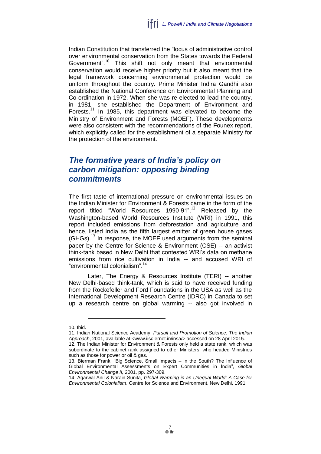Indian Constitution that transferred the "locus of administrative control over environmental conservation from the States towards the Federal Government".<sup>10</sup> This shift not only meant that environmental conservation would receive higher priority but it also meant that the legal framework concerning environmental protection would be uniform throughout the country. Prime Minister Indira Gandhi also established the National Conference on Environmental Planning and Co-ordination in 1972. When she was re-elected to lead the country, in 1981, she established the Department of Environment and Forests. $^{11}$  In 1985, this department was elevated to become the Ministry of Environment and Forests (MOEF). These developments were also consistent with the recommendations of the Founex report, which explicitly called for the establishment of a separate Ministry for the protection of the environment.

#### <span id="page-8-0"></span>*The formative years of India's policy on carbon mitigation: opposing binding commitments*

The first taste of international pressure on environmental issues on the Indian Minister for Environment & Forests came in the form of the report titled "World Resources 1990-91".<sup>12</sup> Released by the Washington-based World Resources Institute (WRI) in 1991, this report included emissions from deforestation and agriculture and hence, listed India as the fifth largest emitter of green house gases  $(GHGs).<sup>13</sup>$  In response, the MOEF used arguments from the seminal paper by the Centre for Science & Environment (CSE) -- an activist think-tank based in New Delhi that contested WRI's data on methane emissions from rice cultivation in India -- and accused WRI of "environmental colonialism". 14

Later, The Energy & Resources Institute (TERI) -- another New Delhi-based think-tank, which is said to have received funding from the Rockefeller and Ford Foundations in the USA as well as the International Development Research Centre (IDRC) in Canada to set up a research centre on global warming -- also got involved in

<sup>10.</sup> Ibid.

<sup>11.</sup> Indian National Science Academy, *Pursuit and Promotion of Science: The Indian Approach*, 2001, available at [<www.iisc.ernet.in/insa/>](http://www.iisc.ernet.in/insa/) accessed on 28 April 2015.

<sup>12.</sup> The Indian Minister for Environment & Forests only held a state rank, which was subordinate to the cabinet rank assigned to other Ministers, who headed Ministries such as those for power or oil & gas.

<sup>13.</sup> Bierman Frank, "Big Science, Small Impacts – in the South? The Influence of Global Environmental Assessments on Expert Communities in India", *Global Environmental Change II,* 2001, pp. 297-309.

<sup>14.</sup> Agarwal Anil & Narain Sunita, *Global Warming in an Unequal World: A Case for Environmental Colonialism*, Centre for Science and Environment, New Delhi, 1991.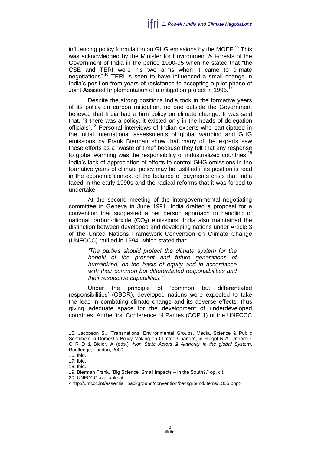influencing policy formulation on GHG emissions by the MOEF.<sup>15</sup> This was acknowledged by the Minister for Environment & Forests of the Government of India in the period 1990-95 when he stated that "the CSE and TERI were his two arms when it came to climate negotiations".<sup>16</sup> TERI is seen to have influenced a small change in India's position from years of resistance to accepting a pilot phase of Joint Assisted Implementation of a mitigation project in 1996.<sup>17</sup>

Despite the strong positions India took in the formative years of its policy on carbon mitigation, no one outside the Government believed that India had a firm policy on climate change. It was said that, "if there was a policy, it existed only in the heads of delegation officials".<sup>18</sup> Personal interviews of Indian experts who participated in the initial international assessments of global warming and GHG emissions by Frank Bierman show that many of the experts saw these efforts as a "waste of time" because they felt that any response to global warming was the responsibility of industrialized countries.<sup>19</sup> India's lack of appreciation of efforts to control GHG emissions in the formative years of climate policy may be justified if its position is read in the economic context of the balance of payments crisis that India faced in the early 1990s and the radical reforms that it was forced to undertake.

At the second meeting of the intergovernmental negotiating committee in Geneva in June 1991, India drafted a proposal for a convention that suggested a per person approach to handling of national carbon-dioxide  $(CO<sub>2</sub>)$  emissions. India also maintained the distinction between developed and developing nations under Article 3 of the United Nations Framework Convention on Climate Change (UNFCCC) ratified in 1994, which stated that:

> *'The parties should protect the climate system for the benefit of the present and future generations of humankind, on the basis of equity and in accordance with their common but differentiated responsibilities and their respective capabilities.'* 20

Under the principle of 'common but differentiated responsibilities' (CBDR), developed nations were expected to take the lead in combating climate change and its adverse effects, thus giving adequate space for the development of underdeveloped countries. At the first Conference of Parties (COP 1) of the UNFCCC

<sup>15.</sup> Jacobson S., "Transnational Environmental Groups, Media, Science & Public Sentiment in Domestic Policy Making on Climate Change", in Higgot R A, Underhill, G R D & Bieler, A (eds.), *Non State Actors & Authority in the global System*, Routledge, London, 2000.

<sup>16.</sup> Ibid.

<sup>17.</sup> Ibid.

<sup>18.</sup> Ibid.

<sup>19.</sup> Bierman Frank, "Big Science, Small Impacts – in the South?," op. cit.

<sup>20.</sup> UNFCCC available at

[<sup>&</sup>lt;http://unfccc.int/essential\\_background/convention/background/items/1355.php>](http://unfccc.int/essential_background/convention/background/items/1355.php)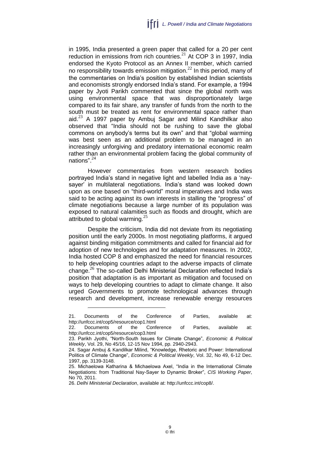in 1995, India presented a green paper that called for a 20 per cent reduction in emissions from rich countries.<sup>21</sup> At COP 3 in 1997, India endorsed the Kyoto Protocol as an Annex II member, which carried no responsibility towards emission mitigation.<sup>22</sup> In this period, many of the commentaries on India's position by established Indian scientists and economists strongly endorsed India's stand. For example, a 1994 paper by Jyoti Parikh commented that since the global north was using environmental space that was disproportionately large compared to its fair share, any transfer of funds from the north to the south must be treated as rent for environmental space rather than aid. $^{23}$  A 1997 paper by Ambuj Sagar and Milind Kandhilkar also observed that "India should not be rushing to save the global commons on anybody's terms but its own" and that "global warming was best seen as an additional problem to be managed in an increasingly unforgiving and predatory international economic realm rather than an environmental problem facing the global community of nations". 24

However commentaries from western research bodies portrayed India's stand in negative light and labelled India as a 'naysayer' in multilateral negotiations. India's stand was looked down upon as one based on "third-world" moral imperatives and India was said to be acting against its own interests in stalling the "progress" of climate negotiations because a large number of its population was exposed to natural calamities such as floods and drought, which are attributed to global warming.<sup>25</sup>

Despite the criticism, India did not deviate from its negotiating position until the early 2000s. In most negotiating platforms, it argued against binding mitigation commitments and called for financial aid for adoption of new technologies and for adaptation measures. In 2002, India hosted COP 8 and emphasized the need for financial resources to help developing countries adapt to the adverse impacts of climate change.<sup>26</sup> The so-called Delhi Ministerial Declaration reflected India's position that adaptation is as important as mitigation and focused on ways to help developing countries to adapt to climate change. It also urged Governments to promote technological advances through research and development, increase renewable energy resources

<sup>21.</sup> Documents of the Conference of Parties, available at: <http://unfccc.int/cop5/resource/cop1.html>

<sup>22.</sup> Documents of the Conference of Parties, available at: <http://unfccc.int/cop5/resource/cop3.html>

<sup>23.</sup> Parikh Jyothi, "North-South Issues for Climate Change", *Economic & Political Weekly*, Vol. 29, No 45/16, 12-15 Nov 1994, pp. 2940-2943.

<sup>24.</sup> Sagar Ambuj & Kandilkar Milind, "Knowledge, Rhetoric and Power: International Politics of Climate Change", *Economic & Political Weekly*, Vol. 32, No 49, 6-12 Dec. 1997, pp. 3139-3148.

<sup>25.</sup> Michaelowa Katharina & Michaelowa Axel, "India in the International Climate Negotiations: from Traditional Nay-Sayer to Dynamic Broker", *CIS Working Paper*, No 70, 2011.

<sup>26.</sup> *Delhi Ministerial Declaration*, available at: http://unfccc.int/cop8/.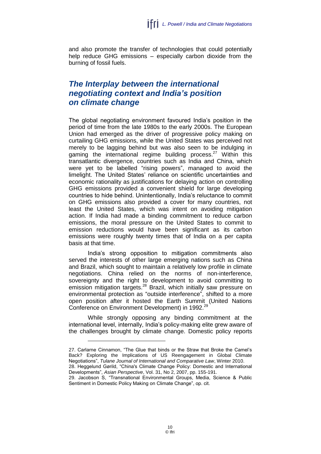and also promote the transfer of technologies that could potentially help reduce GHG emissions – especially carbon dioxide from the burning of fossil fuels.

#### <span id="page-11-0"></span>*The Interplay between the international negotiating context and India's position on climate change*

The global negotiating environment favoured India's position in the period of time from the late 1980s to the early 2000s. The European Union had emerged as the driver of progressive policy making on curtailing GHG emissions, while the United States was perceived not merely to be lagging behind but was also seen to be indulging in gaming the international regime building process.<sup>27</sup> Within this transatlantic divergence, countries such as India and China, which were yet to be labelled "rising powers", managed to avoid the limelight. The United States' reliance on scientific uncertainties and economic rationality as justifications for delaying action on controlling GHG emissions provided a convenient shield for large developing countries to hide behind. Unintentionally, India's reluctance to commit on GHG emissions also provided a cover for many countries, not least the United States, which was intent on avoiding mitigation action. If India had made a binding commitment to reduce carbon emissions, the moral pressure on the United States to commit to emission reductions would have been significant as its carbon emissions were roughly twenty times that of India on a per capita basis at that time.

India's strong opposition to mitigation commitments also served the interests of other large emerging nations such as China and Brazil, which sought to maintain a relatively low profile in climate negotiations. China relied on the norms of non-interference, sovereignty and the right to development to avoid committing to emission mitigation targets.<sup>28</sup> Brazil, which initially saw pressure on environmental protection as "outside interference", shifted to a more open position after it hosted the Earth Summit (United Nations Conference on Environment Development) in 1992.<sup>29</sup>

While strongly opposing any binding commitment at the international level, internally, India's policy-making elite grew aware of the challenges brought by climate change. Domestic policy reports

27. Carlarne Cinnamon, "The Glue that binds or the Straw that Broke the Camel's Back? Exploring the Implications of US Reengagement in Global Climate Negotiations", *Tulane Journal of International and Comparative Law*, Winter 2010.

28. Heggelund Gørild, "China's Climate Change Policy: Domestic and International Developments", *Asian Perspective*, Vol. 31, No 2, 2007, pp. 155-191.

<sup>29.</sup> Jacobson S, "Transnational Environmental Groups, Media, Science & Public Sentiment in Domestic Policy Making on Climate Change", op. cit.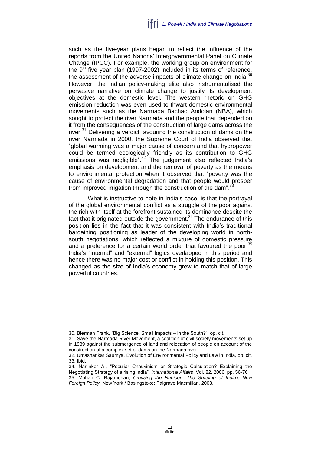such as the five-year plans began to reflect the influence of the reports from the United Nations' Intergovernmental Panel on Climate Change (IPCC). For example, the working group on environment for the  $9<sup>th</sup>$  five year plan (1997-2002) included in its terms of reference, the assessment of the adverse impacts of climate change on India. $30$ However, the Indian policy-making elite also instrumentalised the pervasive narrative on climate change to justify its development objectives at the domestic level. The western rhetoric on GHG emission reduction was even used to thwart domestic environmental movements such as the Narmada Bachao Andolan (NBA), which sought to protect the river Narmada and the people that depended on it from the consequences of the construction of large dams across the river. $31$  Delivering a verdict favouring the construction of dams on the river Narmada in 2000, the Supreme Court of India observed that "global warming was a major cause of concern and that hydropower could be termed ecologically friendly as its contribution to GHG emissions was negligible". $32$  The judgement also reflected India's emphasis on development and the removal of poverty as the means to environmental protection when it observed that "poverty was the cause of environmental degradation and that people would prosper from improved irrigation through the construction of the dam".<sup>33</sup>

What is instructive to note in India's case, is that the portrayal of the global environmental conflict as a struggle of the poor against the rich with itself at the forefront sustained its dominance despite the fact that it originated outside the government.<sup>34</sup> The endurance of this position lies in the fact that it was consistent with India's traditional bargaining positioning as leader of the developing world in northsouth negotiations, which reflected a mixture of domestic pressure and a preference for a certain world order that favoured the poor.<sup>35</sup> India's "internal" and "external" logics overlapped in this period and hence there was no major cost or conflict in holding this position. This changed as the size of India's economy grew to match that of large powerful countries.

<sup>30.</sup> Bierman Frank, "Big Science, Small Impacts – in the South?", op. cit.

<sup>31.</sup> Save the Narmada River Movement, a coalition of civil society movements set up in 1989 against the submergence of land and relocation of people on account of the construction of a complex set of dams on the Narmada river.

<sup>32.</sup> Umashankar Saumya, Evolution of Environmental Policy and Law in India, op. cit. 33. Ibid.

<sup>34.</sup> Narlinker A., "Peculiar Chauvinism or Strategic Calculation? Explaining the Negotiating Strategy of a rising India", *International Affairs*, Vol. 82, 2006, pp. 56-76 35. Mohan C. Rajamohan, *Crossing the Rubicon: The Shaping of India's New Foreign Policy*, New York / Basingstoke: Palgrave Macmillan, 2003.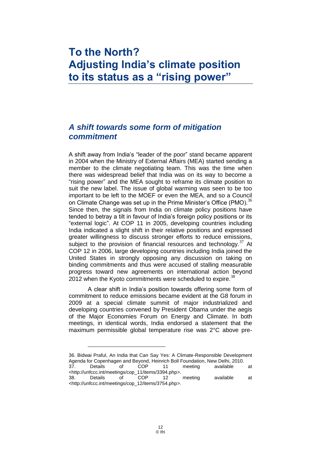## <span id="page-13-0"></span>**To the North? Adjusting India's climate position to its status as a "rising power"**

#### <span id="page-13-1"></span>*A shift towards some form of mitigation commitment*

A shift away from India's "leader of the poor" stand became apparent in 2004 when the Ministry of External Affairs (MEA) started sending a member to the climate negotiating team. This was the time when there was widespread belief that India was on its way to become a "rising power" and the MEA sought to reframe its climate position to suit the new label. The issue of global warming was seen to be too important to be left to the MOEF or even the MEA, and so a Council on Climate Change was set up in the Prime Minister's Office (PMO).<sup>36</sup> Since then, the signals from India on climate policy positions have tended to betray a tilt in favour of India's foreign policy positions or its "external logic". At COP 11 in 2005, developing countries including India indicated a slight shift in their relative positions and expressed greater willingness to discuss stronger efforts to reduce emissions, subject to the provision of financial resources and technology.<sup>37</sup> At COP 12 in 2006, large developing countries including India joined the United States in strongly opposing any discussion on taking on binding commitments and thus were accused of stalling measurable progress toward new agreements on international action beyond 2012 when the Kyoto commitments were scheduled to expire.  $38$ 

A clear shift in India's position towards offering some form of commitment to reduce emissions became evident at the G8 forum in 2009 at a special climate summit of major industrialized and developing countries convened by President Obama under the aegis of the Major Economies Forum on Energy and Climate. In both meetings, in identical words, India endorsed a statement that the maximum permissible global temperature rise was 2°C above pre-

36. Bidwai Praful, An India that Can Say Yes: A Climate-Responsible Development Agenda for Copenhagen and Beyond, Heinrich Boll Foundation, New Delhi, 2010. 37. Details of COP 11 meeting available at -http://unfccc.int/meetings/cop\_11/items/3394.php>.<br>38. Details of COP 12 38. Details of COP 12 meeting available at [<http://unfccc.int/meetings/cop\\_12/items/3754.php>](http://unfccc.int/meetings/cop_12/items/3754.php).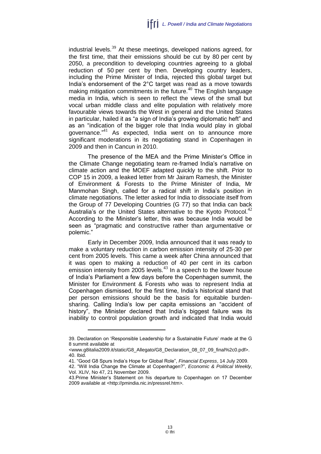industrial levels. $39$  At these meetings, developed nations agreed, for the first time, that their emissions should be cut by 80 per cent by 2050, a precondition to developing countries agreeing to a global reduction of 50 per cent by then. Developing country leaders, including the Prime Minister of India, rejected this global target but India's endorsement of the 2°C target was read as a move towards making mitigation commitments in the future.<sup>40</sup> The English language media in India, which is seen to reflect the views of the small but vocal urban middle class and elite population with relatively more favourable views towards the West in general and the United States in particular, hailed it as "a sign of India's growing diplomatic heft" and as an "indication of the bigger role that India would play in global governance.<sup>"41</sup> As expected, India went on to announce more significant moderations in its negotiating stand in Copenhagen in 2009 and then in Cancun in 2010.

The presence of the MEA and the Prime Minister's Office in the Climate Change negotiating team re-framed India's narrative on climate action and the MOEF adapted quickly to the shift. Prior to COP 15 in 2009, a leaked letter from Mr Jairam Ramesh, the Minister of Environment & Forests to the Prime Minister of India, Mr Manmohan Singh, called for a radical shift in India's position in climate negotiations. The letter asked for India to dissociate itself from the Group of 77 Developing Countries (G 77) so that India can back Australia's or the United States alternative to the Kyoto Protocol.<sup>42</sup> According to the Minister's letter, this was because India would be seen as "pragmatic and constructive rather than argumentative or polemic."

Early in December 2009, India announced that it was ready to make a voluntary reduction in carbon emission intensity of 25-30 per cent from 2005 levels. This came a week after China announced that it was open to making a reduction of 40 per cent in its carbon  $\frac{1}{2}$  emission intensity from 2005 levels.<sup>43</sup> In a speech to the lower house of India's Parliament a few days before the Copenhagen summit, the Minister for Environment & Forests who was to represent India at Copenhagen dismissed, for the first time, India's historical stand that per person emissions should be the basis for equitable burdensharing. Calling India's low per capita emissions an "accident of history", the Minister declared that India's biggest failure was its inability to control population growth and indicated that India would

<sup>39.</sup> Declaration on 'Responsible Leadership for a Sustainable Future' made at the G 8 summit available at

[<sup>&</sup>lt;www.g8italia2009.it/static/G8\\_Allegato/G8\\_Declaration\\_08\\_07\\_09\\_final%2c0.pd](http://www.g8italia2009.it/static/G8_Allegato/G8_Declaration_08_07_09_final%2c0.p)f>. 40. Ibid.

<sup>41.</sup> "Good G8 Spurs India's Hope for Global Role", *Financial Express*, 14 July 2009.

<sup>42.</sup> "Will India Change the Climate at Copenhagen?", *Economic & Political Weekly*, Vol. XLIV, No 47, 21 November 2009.

<sup>43.</sup>Prime Minister's Statement on his departure to Copenhagen on 17 December 2009 available at *<*[http://pmindia.nic.in/pressrel.htm>](http://pmindia.nic.in/pressrel.htm)*.*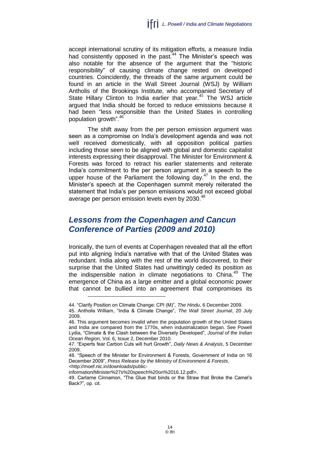accept international scrutiny of its mitigation efforts, a measure India had consistently opposed in the past.<sup>44</sup> The Minister's speech was also notable for the absence of the argument that the "historic responsibility" of causing climate change rested on developed countries. Coincidently, the threads of the same argument could be found in an article in the Wall Street Journal (WSJ) by William Antholis of the Brookings Institute, who accompanied Secretary of State Hillary Clinton to India earlier that year.<sup>45</sup> The WSJ article argued that India should be forced to reduce emissions because it had been "less responsible than the United States in controlling population growth". 46

The shift away from the per person emission argument was seen as a compromise on India's development agenda and was not well received domestically, with all opposition political parties including those seen to be aligned with global and domestic capitalist interests expressing their disapproval. The Minister for Environment & Forests was forced to retract his earlier statements and reiterate India's commitment to the per person argument in a speech to the upper house of the Parliament the following day. $47$  In the end, the Minister's speech at the Copenhagen summit merely reiterated the statement that India's per person emissions would not exceed global average per person emission levels even by 2030.<sup>48</sup>

#### <span id="page-15-0"></span>*Lessons from the Copenhagen and Cancun Conference of Parties (2009 and 2010)*

Ironically, the turn of events at Copenhagen revealed that all the effort put into aligning India's narrative with that of the United States was redundant. India along with the rest of the world discovered, to their surprise that the United States had unwittingly ceded its position as the indispensible nation in climate negotiations to China. $49$  The emergence of China as a large emitter and a global economic power that cannot be bullied into an agreement that compromises its

[information/Minister%27s%20speech%20on%2016.12.pdf>](http://moef.nic.in/downloads/public-information/Minister%27s%20speech%20on%2016.12.pdf).

<sup>44.</sup> "Clarify Position on Climate Change: CPI (M)", *The Hindu*, 6 December 2009.

<sup>45.</sup> Antholis William, "India & Climate Change", *The Wall Street Journal*, 20 July 2009.

<sup>46.</sup> This argument becomes invalid when the population growth of the United States and India are compared from the 1770s, when industrialization began. See Powell Lydia, "Climate & the Clash between the Diversely Developed", *Journal of the Indian Ocean Region*, Vol. 6, Issue 2, December 2010.

<sup>47.</sup> "Experts fear Carbon Cuts will hurt Growth", *Daily News & Analysis*, 5 December 2009.

<sup>48.</sup> "Speech of the Minister for Environment & Forests, Government of India on 16 December 2009", *Press Release by the Ministry of Environment & Forests*, [<http://moef.nic.in/downloads/public-](http://moef.nic.in/downloads/public-information/Minister%27s%20speech%20on%2016.12.pdf)

<sup>49.</sup> Carlarne Cinnamon, "The Glue that binds or the Straw that Broke the Camel's Back?", op. cit.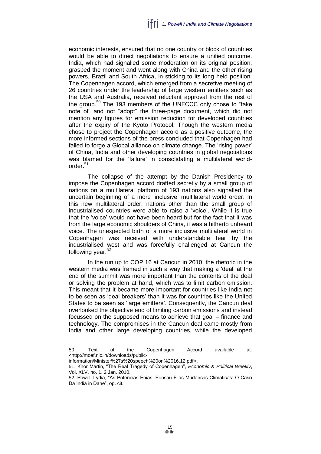economic interests, ensured that no one country or block of countries would be able to direct negotiations to ensure a unified outcome. India, which had signalled some moderation on its original position, grasped the moment and went along with China and the other rising powers, Brazil and South Africa, in sticking to its long held position. The Copenhagen accord, which emerged from a secretive meeting of 26 countries under the leadership of large western emitters such as the USA and Australia, received reluctant approval from the rest of the group.<sup>50</sup> The 193 members of the UNFCCC only chose to "take note of" and not "adopt" the three-page document, which did not mention any figures for emission reduction for developed countries after the expiry of the Kyoto Protocol. Though the western media chose to project the Copenhagen accord as a positive outcome, the more informed sections of the press concluded that Copenhagen had failed to forge a Global alliance on climate change. The 'rising power' of China, India and other developing countries in global negotiations was blamed for the 'failure' in consolidating a multilateral worldorder. $51$ 

The collapse of the attempt by the Danish Presidency to impose the Copenhagen accord drafted secretly by a small group of nations on a multilateral platform of 193 nations also signalled the uncertain beginning of a more 'inclusive' multilateral world order. In this new multilateral order, nations other than the small group of industrialised countries were able to raise a 'voice'. While it is true that the 'voice' would not have been heard but for the fact that it was from the large economic shoulders of China, it was a hitherto unheard voice. The unexpected birth of a more inclusive multilateral world in Copenhagen was received with understandable fear by the industrialised west and was forcefully challenged at Cancun the following year. $52$ 

In the run up to COP 16 at Cancun in 2010, the rhetoric in the western media was framed in such a way that making a 'deal' at the end of the summit was more important than the contents of the deal or solving the problem at hand, which was to limit carbon emission. This meant that it became more important for countries like India not to be seen as 'deal breakers' than it was for countries like the United States to be seen as 'large emitters'. Consequently, the Cancun deal overlooked the objective end of limiting carbon emissions and instead focussed on the supposed means to achieve that goal – finance and technology. The compromises in the Cancun deal came mostly from India and other large developing countries, while the developed

<sup>50.</sup> Text of the Copenhagen Accord available at: [<http://moef.nic.in/downloads/public-](http://moef.nic.in/downloads/public-information/Minister%27s%20speech%20on%2016.12.pdf)

[information/Minister%27s%20speech%20on%2016.12.pdf>](http://moef.nic.in/downloads/public-information/Minister%27s%20speech%20on%2016.12.pdf).

<sup>51.</sup> Khor Martin, "The Real Tragedy of Copenhagen", *Economic & Political Weekly*, Vol. XLV, no. 1, 2 Jan. 2010.

<sup>52.</sup> Powell Lydia, "As Potencias Enias: Eensau E as Mudancas Climaticas: O Caso Da India in Dane", op. cit.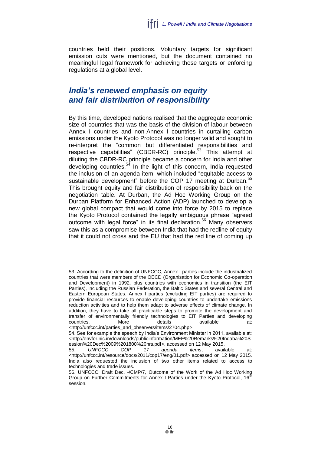countries held their positions. Voluntary targets for significant emission cuts were mentioned, but the document contained no meaningful legal framework for achieving those targets or enforcing regulations at a global level.

#### <span id="page-17-0"></span>*India's renewed emphasis on equity and fair distribution of responsibility*

By this time, developed nations realised that the aggregate economic size of countries that was the basis of the division of labour between Annex I countries and non-Annex I countries in curtailing carbon emissions under the Kyoto Protocol was no longer valid and sought to re-interpret the "common but differentiated responsibilities and respective capabilities" (CBDR-RC) principle.<sup>53</sup> This attempt at diluting the CBDR-RC principle became a concern for India and other developing countries.<sup>54</sup> In the light of this concern, India requested the inclusion of an agenda item, which included "equitable access to sustainable development" before the COP 17 meeting at Durban.<sup>55</sup> This brought equity and fair distribution of responsibility back on the negotiation table. At Durban, the Ad Hoc Working Group on the Durban Platform for Enhanced Action (ADP) launched to develop a new global compact that would come into force by 2015 to replace the Kyoto Protocol contained the legally ambiguous phrase "agreed outcome with legal force" in its final declaration.<sup>56</sup> Many observers saw this as a compromise between India that had the redline of equity that it could not cross and the EU that had the red line of coming up

<sup>53.</sup> According to the definition of UNFCCC, Annex I parties include the industrialized countries that were members of the OECD (Organisation for Economic Co-operation and Development) in 1992, plus countries with economies in transition (the EIT Parties), including the Russian Federation, the Baltic States and several Central and Eastern European States. Annex I parties (excluding EIT parties) are required to provide financial resources to enable developing countries to undertake emissions reduction activities and to help them adapt to adverse effects of climate change. In addition, they have to take all practicable steps to promote the development and transfer of environmentally friendly technologies to EIT Parties and developing countries. More details available at: <http://unfccc.int/parties\_and\_observers/items/2704.php>.

<sup>54.</sup> See for example the speech by India's Environment Minister in 2011, available at: [<http://envfor.nic.in/downloads/publicinformation/MEF%20Remarks%20Indaba%20S](http://envfor.nic.in/downloads/publicinformation/MEF%20Remarks%20Indaba%20Session%20Dec%2009%201800%20hrs.pdf) [ession%20Dec%2009%201800%20hrs.pdf>](http://envfor.nic.in/downloads/publicinformation/MEF%20Remarks%20Indaba%20Session%20Dec%2009%201800%20hrs.pdf), accessed on 12 May 2015.

<sup>55.</sup> *UNFCCC COP 17 agenda items*, available at: [<http://unfccc.int/resource/docs/2011/cop17/eng/01.pdf>](http://unfccc.int/resource/docs/2011/cop17/eng/01.pdf) accessed on 12 May 2015. India also requested the inclusion of two other items related to access to technologies and trade issues.

<sup>56.</sup> UNFCCC, Draft Dec. -/CMP/7, Outcome of the Work of the Ad Hoc Working Group on Further Commitments for Annex I Parties under the Kyoto Protocol, 16<sup>1</sup> session.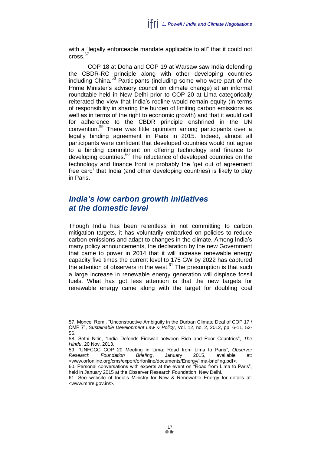with a "legally enforceable mandate applicable to all" that it could not cross.<sup>57</sup>

COP 18 at Doha and COP 19 at Warsaw saw India defending the CBDR-RC principle along with other developing countries including China. $58$  Participants (including some who were part of the Prime Minister's advisory council on climate change) at an informal roundtable held in New Delhi prior to COP 20 at Lima categorically reiterated the view that India's redline would remain equity (in terms of responsibility in sharing the burden of limiting carbon emissions as well as in terms of the right to economic growth) and that it would call for adherence to the CBDR principle enshrined in the UN convention.<sup>59</sup> There was little optimism among participants over a legally binding agreement in Paris in 2015. Indeed, almost all participants were confident that developed countries would not agree to a binding commitment on offering technology and finance to developing countries.<sup>60</sup> The reluctance of developed countries on the technology and finance front is probably the 'get out of agreement free card' that India (and other developing countries) is likely to play in Paris.

#### <span id="page-18-0"></span>*India's low carbon growth initiatives at the domestic level*

Though India has been relentless in not committing to carbon mitigation targets, it has voluntarily embarked on policies to reduce carbon emissions and adapt to changes in the climate. Among India's many policy announcements, the declaration by the new Government that came to power in 2014 that it will increase renewable energy capacity five times the current level to 175 GW by 2022 has captured the attention of observers in the west. $61$  The presumption is that such a large increase in renewable energy generation will displace fossil fuels. What has got less attention is that the new targets for renewable energy came along with the target for doubling coal

<sup>57.</sup> Moncel Remi, "Unconstructive Ambiguity in the Durban Climate Deal of COP 17 / CMP 7", *Sustainable Development Law & Policy*, Vol. 12, no. 2, 2012, pp. 6-11, 52- 56.

<sup>58.</sup> Sethi Nitin, "India Defends Firewall between Rich and Poor Countries", *The Hindu*, 20 Nov. 2013.

<sup>59.</sup> "UNFCCC COP 20 Meeting in Lima: Road from Lima to Paris", *Observer Research Foundation Briefing*, January 2015, available at: [<www.orfonline.org/cms/export/orfonline/documents/Energy/lima-briefing.pdf>](http://www.orfonline.org/cms/export/orfonline/documents/Energy/lima-briefing.pdf).

<sup>60.</sup> Personal conversations with experts at the event on "Road from Lima to Paris", held in January 2015 at the Observer Research Foundation, New Delhi.

<sup>61.</sup> See website of India's Ministry for New & Renewable Energy for details at: [<www.mnre.gov.in/>](http://www.mnre.gov.in/).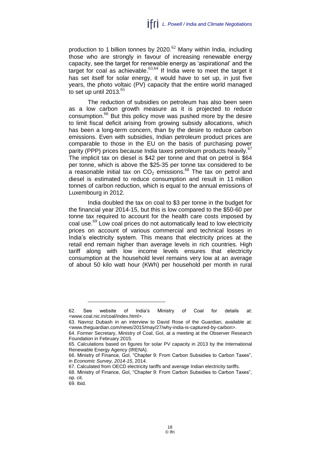production to 1 billion tonnes by  $2020$ .<sup>62</sup> Many within India, including those who are strongly in favour of increasing renewable energy capacity, see the target for renewable energy as 'aspirational' and the target for coal as achievable.  $63,64$  If India were to meet the target it has set itself for solar energy, it would have to set up, in just five years, the photo voltaic (PV) capacity that the entire world managed to set up until 2013. $65$ 

The reduction of subsidies on petroleum has also been seen as a low carbon growth measure as it is projected to reduce consumption.<sup>66</sup> But this policy move was pushed more by the desire to limit fiscal deficit arising from growing subsidy allocations, which has been a long-term concern, than by the desire to reduce carbon emissions. Even with subsidies, Indian petroleum product prices are comparable to those in the EU on the basis of purchasing power parity (PPP) prices because India taxes petroleum products heavily.<sup>67</sup> The implicit tax on diesel is \$42 per tonne and that on petrol is \$64 per tonne, which is above the \$25-35 per tonne tax considered to be a reasonable initial tax on  $CO<sub>2</sub>$  emissions.<sup>68</sup> The tax on petrol and diesel is estimated to reduce consumption and result in 11 million tonnes of carbon reduction, which is equal to the annual emissions of Luxembourg in 2012.

India doubled the tax on coal to \$3 per tonne in the budget for the financial year 2014-15, but this is low compared to the \$50-60 per tonne tax required to account for the health care costs imposed by coal use.<sup>69</sup> Low coal prices do not automatically lead to low electricity prices on account of various commercial and technical losses in India's electricity system. This means that electricity prices at the retail end remain higher than average levels in rich countries. High tariff along with low income levels ensures that electricity consumption at the household level remains very low at an average of about 50 kilo watt hour (KWh) per household per month in rural

<sup>62.</sup> See website of India's Ministry of Coal for details at: [<www.coal.nic.in/coal/index.html>](http://www.coal.nic.in/coal/index.html).

<sup>63.</sup> Navroz Dubash in an interview to David Rose of the Guardian, available at: [<www.theguardian.com/news/2015/may/27/why-india-is-captured-by-carbon>](http://www.theguardian.com/news/2015/may/27/why-india-is-captured-by-carbon).

<sup>64.</sup> Former Secretary, Ministry of Coal, GoI, at a meeting at the Observer Research Foundation in February 2015.

<sup>65.</sup> Calculations based on figures for solar PV capacity in 2013 by the International Renewable Energy Agency (IRENA).

<sup>66.</sup> Ministry of Finance, GoI, "Chapter 9: From Carbon Subsidies to Carbon Taxes", in *Economic Survey, 2014-15*, 2014.

<sup>67.</sup> Calculated from OECD electricity tariffs and average Indian electricity tariffs.

<sup>68.</sup> Ministry of Finance, GoI, "Chapter 9: From Carbon Subsidies to Carbon Taxes", op. cit.

<sup>69.</sup> Ibid.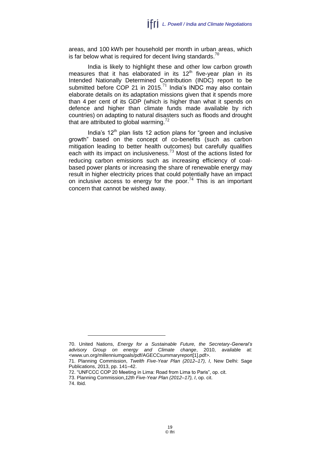areas, and 100 kWh per household per month in urban areas, which is far below what is required for decent living standards.<sup>70</sup>

India is likely to highlight these and other low carbon growth measures that it has elaborated in its  $12<sup>th</sup>$  five-year plan in its Intended Nationally Determined Contribution (INDC) report to be submitted before COP 21 in 2015.<sup>71</sup> India's INDC may also contain elaborate details on its adaptation missions given that it spends more than 4 per cent of its GDP (which is higher than what it spends on defence and higher than climate funds made available by rich countries) on adapting to natural disasters such as floods and drought that are attributed to global warming. $72$ 

India's  $12<sup>th</sup>$  plan lists 12 action plans for "green and inclusive growth" based on the concept of co-benefits (such as carbon mitigation leading to better health outcomes) but carefully qualifies each with its impact on inclusiveness.<sup>73</sup> Most of the actions listed for reducing carbon emissions such as increasing efficiency of coalbased power plants or increasing the share of renewable energy may result in higher electricity prices that could potentially have an impact on inclusive access to energy for the poor.<sup>74</sup> This is an important concern that cannot be wished away.

74. Ibid.

<sup>70.</sup> United Nations, *Energy for a Sustainable Future, the Secretary-General's advisory Group on energy and Climate change*, 2010, available at: [<www.un.org/millenniumgoals/pdf/AGECCsummaryreport\[1\].pdf>](http://www.un.org/millenniumgoals/pdf/AGECCsummaryreport%5b1%5d.pdf).

<sup>71.</sup> Planning Commission, *Twelth Five-Year Plan (2012–17), I*, New Delhi: Sage Publications, 2013, pp. 141–42.

<sup>72.</sup> "UNFCCC COP 20 Meeting in Lima: Road from Lima to Paris", op. cit.

<sup>73.</sup> Planning Commission,*12th Five-Year Plan (2012–17), I*, op. cit.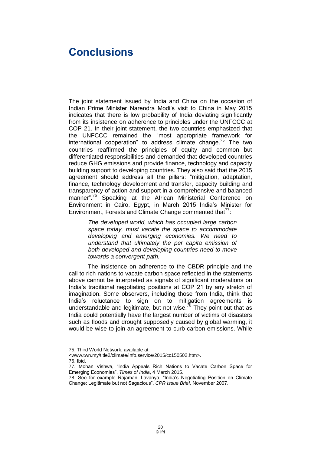### <span id="page-21-0"></span>**Conclusions**

The joint statement issued by India and China on the occasion of Indian Prime Minister Narendra Modi's visit to China in May 2015 indicates that there is low probability of India deviating significantly from its insistence on adherence to principles under the UNFCCC at COP 21. In their joint statement, the two countries emphasized that the UNFCCC remained the "most appropriate framework for international cooperation" to address climate change.<sup>75</sup> The two countries reaffirmed the principles of equity and common but differentiated responsibilities and demanded that developed countries reduce GHG emissions and provide finance, technology and capacity building support to developing countries. They also said that the 2015 agreement should address all the pillars: "mitigation, adaptation, finance, technology development and transfer, capacity building and transparency of action and support in a comprehensive and balanced manner".<sup>76</sup> Speaking at the African Ministerial Conference on Environment in Cairo, Egypt, in March 2015 India's Minister for Environment, Forests and Climate Change commented that  $\frac{77}{1}$ .

> *The developed world, which has occupied large carbon space today, must vacate the space to accommodate developing and emerging economies. We need to understand that ultimately the per capita emission of both developed and developing countries need to move towards a convergent path.*

The insistence on adherence to the CBDR principle and the call to rich nations to vacate carbon space reflected in the statements above cannot be interpreted as signals of significant moderations on India's traditional negotiating positions at COP 21 by any stretch of imagination. Some observers, including those from India, think that India's reluctance to sign on to mitigation agreements is understandable and legitimate, but not wise. $\sqrt{8}$  They point out that as India could potentially have the largest number of victims of disasters such as floods and drought supposedly caused by global warming, it would be wise to join an agreement to curb carbon emissions. While

76. Ibid.

<sup>75.</sup> Third World Network, available at:

[<sup>&</sup>lt;www.twn.my/title2/climate/info.service/2015/cc150502.htm>](http://www.twn.my/title2/climate/info.service/2015/cc150502.htm).

<sup>77.</sup> Mohan Vishwa, "India Appeals Rich Nations to Vacate Carbon Space for Emerging Economies", *Times of India*, 4 March 2015.

<sup>78.</sup> See for example Rajamani Lavanya, "India's Negotiating Position on Climate Change: Legitimate but not Sagacious", *CPR Issue Brief*, November 2007.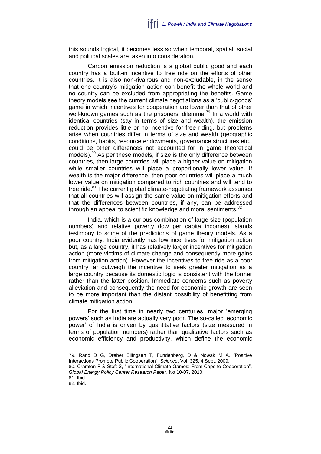this sounds logical, it becomes less so when temporal, spatial, social and political scales are taken into consideration.

Carbon emission reduction is a global public good and each country has a built-in incentive to free ride on the efforts of other countries. It is also non-rivalrous and non-excludable, in the sense that one country's mitigation action can benefit the whole world and no country can be excluded from appropriating the benefits. Game theory models see the current climate negotiations as a 'public-goods' game in which incentives for cooperation are lower than that of other well-known games such as the prisoners' dilemma.<sup>79</sup> In a world with identical countries (say in terms of size and wealth), the emission reduction provides little or no incentive for free riding, but problems arise when countries differ in terms of size and wealth (geographic conditions, habits, resource endowments, governance structures etc., could be other differences not accounted for in game theoretical models). <sup>80</sup> As per these models, if size is the only difference between countries, then large countries will place a higher value on mitigation while smaller countries will place a proportionally lower value. If wealth is the major difference, then poor countries will place a much lower value on mitigation compared to rich countries and will tend to free ride.<sup>81</sup> The current global climate-negotiating framework assumes that all countries will assign the same value on mitigation efforts and that the differences between countries, if any, can be addressed through an appeal to scientific knowledge and moral sentiments.<sup>82</sup>

India, which is a curious combination of large size (population numbers) and relative poverty (low per capita incomes), stands testimony to some of the predictions of game theory models. As a poor country, India evidently has low incentives for mitigation action but, as a large country, it has relatively larger incentives for mitigation action (more victims of climate change and consequently more gains from mitigation action). However the incentives to free ride as a poor country far outweigh the incentive to seek greater mitigation as a large country because its domestic logic is consistent with the former rather than the latter position. Immediate concerns such as poverty alleviation and consequently the need for economic growth are seen to be more important than the distant possibility of benefitting from climate mitigation action.

For the first time in nearly two centuries, major 'emerging powers' such as India are actually very poor. The so-called 'economic power' of India is driven by quantitative factors (size measured in terms of population numbers) rather than qualitative factors such as economic efficiency and productivity, which define the economic

<sup>79.</sup> Rand D G, Dreber Ellingsen T, Fundenberg, D & Nowak M A, "Positive Interactions Promote Public Cooperation"*, Science*, Vol. 325, 4 Sept. 2009.

<sup>80.</sup> Cramton P & Stoft S, "International Climate Games: From Caps to Cooperation", *Global Energy Policy Center Research Paper*, No 10-07, 2010.

<sup>81.</sup> Ibid.